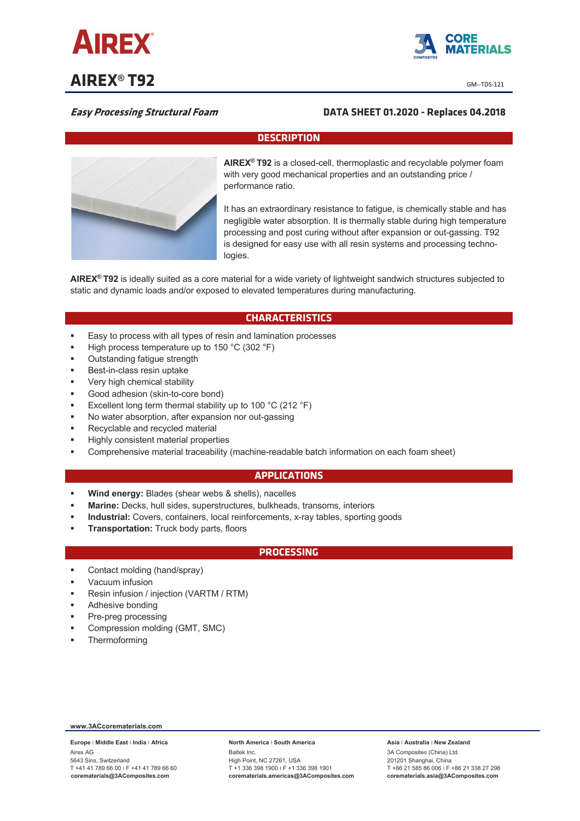



# **Easy Processing Structural Foam DATA SHEET 01.2020 - Replaces 04.2018**

# **DESCRIPTION**



**AIREX® T92** is a closed-cell, thermoplastic and recyclable polymer foam with very good mechanical properties and an outstanding price / performance ratio.

It has an extraordinary resistance to fatigue, is chemically stable and has negligible water absorption. It is thermally stable during high temperature processing and post curing without after expansion or out-gassing. T92 is designed for easy use with all resin systems and processing technologies.

**AIREX® T92** is ideally suited as a core material for a wide variety of lightweight sandwich structures subjected to static and dynamic loads and/or exposed to elevated temperatures during manufacturing.

# **CHARACTERISTICS**

- Easy to process with all types of resin and lamination processes
- § High process temperature up to 150 °C (302 °F)
- Outstanding fatique strength
- § Best-in-class resin uptake
- § Very high chemical stability
- § Good adhesion (skin-to-core bond)
- Excellent long term thermal stability up to 100 °C (212 °F)
- No water absorption, after expansion nor out-gassing
- Recyclable and recycled material
- § Highly consistent material properties
- § Comprehensive material traceability (machine-readable batch information on each foam sheet)

## **APPLICATIONS**

- § **Wind energy:** Blades (shear webs & shells), nacelles
- § **Marine:** Decks, hull sides, superstructures, bulkheads, transoms, interiors
- § **Industrial:** Covers, containers, local reinforcements, x-ray tables, sporting goods
- § **Transportation:** Truck body parts, floors

## **PROCESSING**

- Contact molding (hand/spray)
- § Vacuum infusion
- § Resin infusion / injection (VARTM / RTM)
- § Adhesive bonding
- § Pre-preg processing
- § Compression molding (GMT, SMC)
- **Thermoforming**

## **www.3ACcorematerials.com**

**Europe** ׀ **Middle East** ׀ **India** ׀ **Africa** Airex AG 5643 Sins, Switzerland T +41 41 789 66 00 ׀ F +41 41 789 66 60 **corematerials@3AComposites.com**

#### **North America** ׀ **South America**

Baltek Inc. High Point, NC 27261, USA T +1 336 398 1900 ׀ F +1 336 398 1901 **corematerials.americas@3AComposites.com**

### **Asia** ׀ **Australia** ׀ **New Zealand**

3A Composites (China) Ltd. 201201 Shanghai, China T +86 21 585 86 006 ׀ F +86 21 338 27 298 **corematerials.asia@3AComposites.com**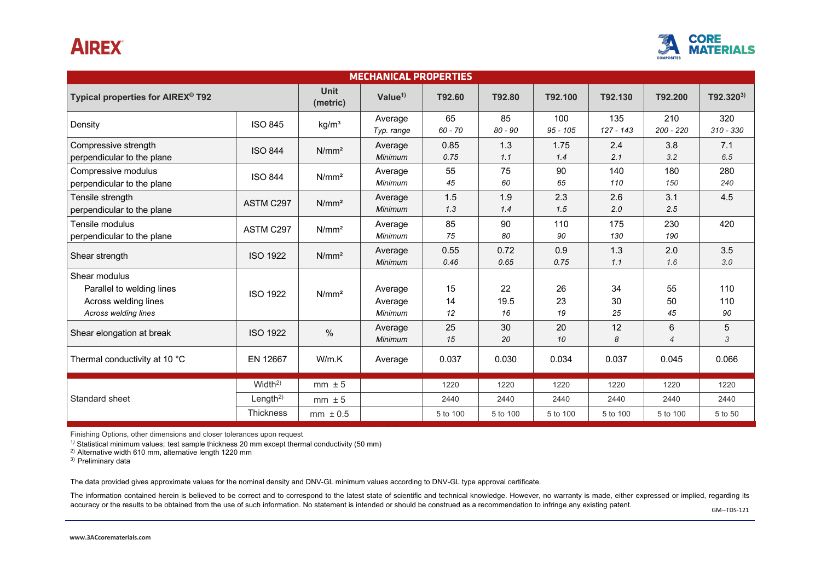**AIREX** 



| <b>MECHANICAL PROPERTIES</b>                                                               |                      |                         |                               |                 |                  |                   |                    |                     |                       |  |  |
|--------------------------------------------------------------------------------------------|----------------------|-------------------------|-------------------------------|-----------------|------------------|-------------------|--------------------|---------------------|-----------------------|--|--|
| Typical properties for AIREX® T92                                                          |                      | <b>Unit</b><br>(metric) | Value <sup>1)</sup>           | T92.60          | T92.80           | T92.100           | T92.130            | T92.200             | T92.320 <sup>3)</sup> |  |  |
| Density                                                                                    | <b>ISO 845</b>       | kg/m <sup>3</sup>       | Average<br>Typ. range         | 65<br>$60 - 70$ | 85<br>$80 - 90$  | 100<br>$95 - 105$ | 135<br>$127 - 143$ | 210<br>$200 - 220$  | 320<br>$310 - 330$    |  |  |
| Compressive strength<br>perpendicular to the plane                                         | <b>ISO 844</b>       | N/mm <sup>2</sup>       | Average<br>Minimum            | 0.85<br>0.75    | 1.3<br>1.1       | 1.75<br>1.4       | 2.4<br>2.1         | 3.8<br>3.2          | 7.1<br>6.5            |  |  |
| Compressive modulus<br>perpendicular to the plane                                          | <b>ISO 844</b>       | N/mm <sup>2</sup>       | Average<br>Minimum            | 55<br>45        | 75<br>60         | 90<br>65          | 140<br>110         | 180<br>150          | 280<br>240            |  |  |
| Tensile strength<br>perpendicular to the plane                                             | ASTM C297            | N/mm <sup>2</sup>       | Average<br><b>Minimum</b>     | 1.5<br>1.3      | 1.9<br>1.4       | 2.3<br>1.5        | 2.6<br>2.0         | 3.1<br>2.5          | 4.5                   |  |  |
| Tensile modulus<br>perpendicular to the plane                                              | ASTM C297            | N/mm <sup>2</sup>       | Average<br>Minimum            | 85<br>75        | 90<br>80         | 110<br>90         | 175<br>130         | 230<br>190          | 420                   |  |  |
| Shear strength                                                                             | <b>ISO 1922</b>      | N/mm <sup>2</sup>       | Average<br>Minimum            | 0.55<br>0.46    | 0.72<br>0.65     | 0.9<br>0.75       | 1.3<br>1.1         | 2.0<br>1.6          | 3.5<br>3.0            |  |  |
| Shear modulus<br>Parallel to welding lines<br>Across welding lines<br>Across welding lines | <b>ISO 1922</b>      | N/mm <sup>2</sup>       | Average<br>Average<br>Minimum | 15<br>14<br>12  | 22<br>19.5<br>16 | 26<br>23<br>19    | 34<br>30<br>25     | 55<br>50<br>45      | 110<br>110<br>90      |  |  |
| Shear elongation at break                                                                  | <b>ISO 1922</b>      | $\%$                    | Average<br><b>Minimum</b>     | 25<br>15        | 30<br>20         | 20<br>10          | 12<br>8            | 6<br>$\overline{4}$ | 5<br>3                |  |  |
| Thermal conductivity at 10 °C                                                              | EN 12667             | W/m.K                   | Average                       | 0.037           | 0.030            | 0.034             | 0.037              | 0.045               | 0.066                 |  |  |
| Standard sheet                                                                             | Width <sup>2</sup>   | $mm \pm 5$              |                               | 1220            | 1220             | 1220              | 1220               | 1220                | 1220                  |  |  |
|                                                                                            | Length <sup>2)</sup> | $mm \pm 5$              |                               | 2440            | 2440             | 2440              | 2440               | 2440                | 2440                  |  |  |
|                                                                                            | <b>Thickness</b>     | $mm \pm 0.5$            |                               | 5 to 100        | 5 to 100         | 5 to 100          | 5 to 100           | 5 to 100            | 5 to 50               |  |  |

Finishing Options, other dimensions and closer tolerances upon request

<sup>1)</sup> Statistical minimum values; test sample thickness 20 mm except thermal conductivity (50 mm)

2) Alternative width 610 mm, alternative length 1220 mm

3) Preliminary data

The data provided gives approximate values for the nominal density and DNV-GL minimum values according to DNV-GL type approval certificate.

The information contained herein is believed to be correct and to correspond to the latest state of scientific and technical knowledge. However, no warranty is made, either expressed or implied, regarding its accuracy or the results to be obtained from the use of such information. No statement is intended or should be construed as a recommendation to infringe any existing patent.

in ± 0.2